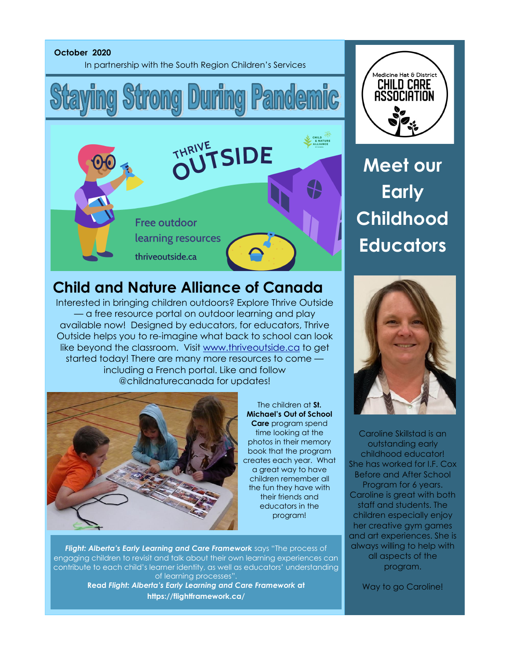

## Medicine Hat & District **CHILD CARE** ASSOCIATION

## **Meet our Early Childhood Educators**

## **Child and Nature Alliance of Canada**

Interested in bringing children outdoors? Explore Thrive Outside — a free resource portal on outdoor learning and play available now! Designed by educators, for educators, Thrive Outside helps you to re-imagine what back to school can look like beyond the classroom. Visit [www.thriveoutside.ca](http://www.thriveoutside.ca/?fbclid=IwAR2kHqwq04Z-ZsuQfT5kdhaFm5ytHZJal_ajS2FK8knREkKJSJXnQtLNj1c) to get started today! There are many more resources to come including a French portal. Like and follow @childnaturecanada for updates!



The children at **St. Michael's Out of School Care** program spend time looking at the photos in their memory book that the program creates each year. What a great way to have children remember all the fun they have with their friends and educators in the program!

*Flight: Alberta's Early Learning and Care Framework* says "The process of engaging children to revisit and talk about their own learning experiences can contribute to each child's learner identity, as well as educators' understanding of learning processes".

**Read** *Flight: Alberta's Early Learning and Care Framework* **at https://flightframework.ca/**



Caroline Skillstad is an outstanding early childhood educator! She has worked for I.F. Cox Before and After School Program for 6 years. Caroline is great with both staff and students. The children especially enjoy her creative gym games and art experiences. She is always willing to help with all aspects of the program.

Way to go Caroline!